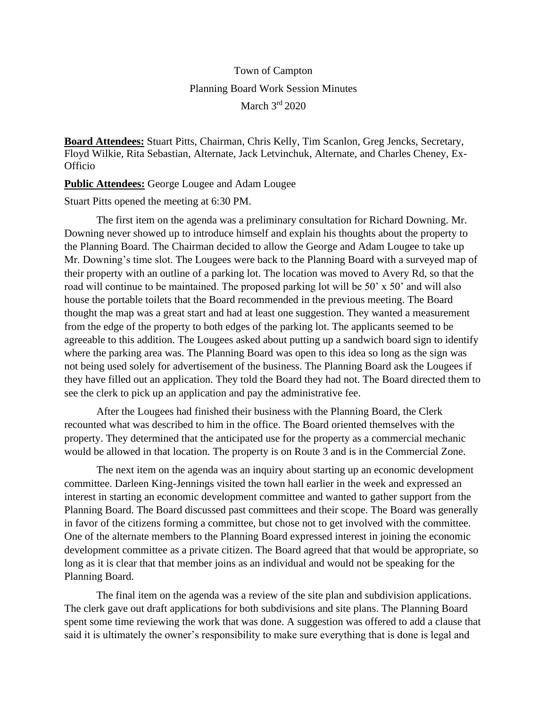## Town of Campton Planning Board Work Session Minutes March 3rd 2020

**Board Attendees:** Stuart Pitts, Chairman, Chris Kelly, Tim Scanlon, Greg Jencks, Secretary, Floyd Wilkie, Rita Sebastian, Alternate, Jack Letvinchuk, Alternate, and Charles Cheney, Ex-**Officio** 

**Public Attendees:** George Lougee and Adam Lougee

Stuart Pitts opened the meeting at 6:30 PM.

The first item on the agenda was a preliminary consultation for Richard Downing. Mr. Downing never showed up to introduce himself and explain his thoughts about the property to the Planning Board. The Chairman decided to allow the George and Adam Lougee to take up Mr. Downing's time slot. The Lougees were back to the Planning Board with a surveyed map of their property with an outline of a parking lot. The location was moved to Avery Rd, so that the road will continue to be maintained. The proposed parking lot will be 50' x 50' and will also house the portable toilets that the Board recommended in the previous meeting. The Board thought the map was a great start and had at least one suggestion. They wanted a measurement from the edge of the property to both edges of the parking lot. The applicants seemed to be agreeable to this addition. The Lougees asked about putting up a sandwich board sign to identify where the parking area was. The Planning Board was open to this idea so long as the sign was not being used solely for advertisement of the business. The Planning Board ask the Lougees if they have filled out an application. They told the Board they had not. The Board directed them to see the clerk to pick up an application and pay the administrative fee.

After the Lougees had finished their business with the Planning Board, the Clerk recounted what was described to him in the office. The Board oriented themselves with the property. They determined that the anticipated use for the property as a commercial mechanic would be allowed in that location. The property is on Route 3 and is in the Commercial Zone.

The next item on the agenda was an inquiry about starting up an economic development committee. Darleen King-Jennings visited the town hall earlier in the week and expressed an interest in starting an economic development committee and wanted to gather support from the Planning Board. The Board discussed past committees and their scope. The Board was generally in favor of the citizens forming a committee, but chose not to get involved with the committee. One of the alternate members to the Planning Board expressed interest in joining the economic development committee as a private citizen. The Board agreed that that would be appropriate, so long as it is clear that that member joins as an individual and would not be speaking for the Planning Board.

The final item on the agenda was a review of the site plan and subdivision applications. The clerk gave out draft applications for both subdivisions and site plans. The Planning Board spent some time reviewing the work that was done. A suggestion was offered to add a clause that said it is ultimately the owner's responsibility to make sure everything that is done is legal and